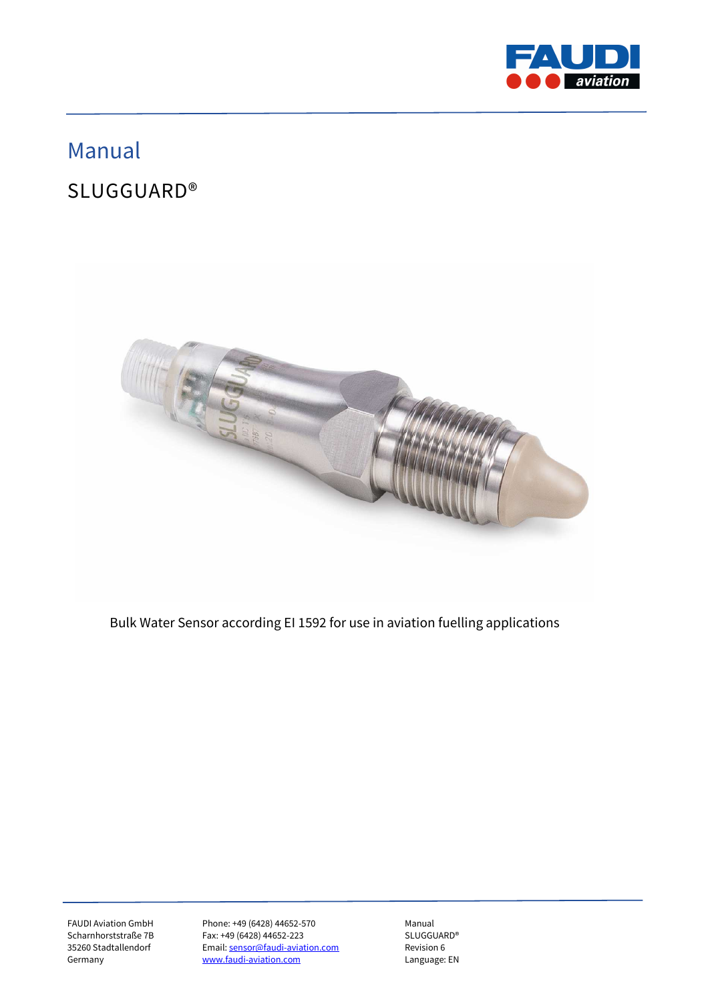

# Manual

# SLUGGUARD®



Bulk Water Sensor according EI 1592 for use in aviation fuelling applications

FAUDI Aviation GmbH Phone: +49 (6428) 44652-570 Manual<br>Scharnhorststraße 7B Fax: +49 (6428) 44652-223 SLUGGUARD® Fax: +49 (6428) 44652-223 35260 Stadtallendorf Email: sensor@faudi-aviation.com Revision 6<br>
Germany Revision Communication.com Language: EN www.faudi-aviation.com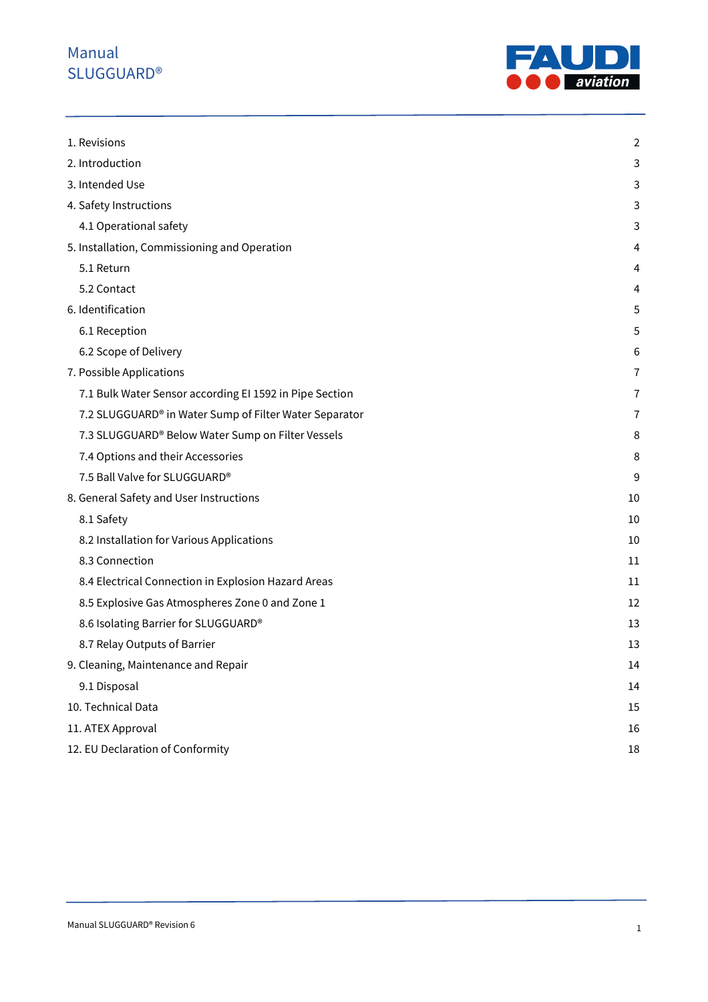

| 1. Revisions                                            | $\overline{2}$ |
|---------------------------------------------------------|----------------|
| 2. Introduction                                         | 3              |
| 3. Intended Use                                         | 3              |
| 4. Safety Instructions                                  | 3              |
| 4.1 Operational safety                                  | 3              |
| 5. Installation, Commissioning and Operation            | 4              |
| 5.1 Return                                              | 4              |
| 5.2 Contact                                             | 4              |
| 6. Identification                                       | 5              |
| 6.1 Reception                                           | 5              |
| 6.2 Scope of Delivery                                   | 6              |
| 7. Possible Applications                                | $\overline{7}$ |
| 7.1 Bulk Water Sensor according EI 1592 in Pipe Section | $\tau$         |
| 7.2 SLUGGUARD® in Water Sump of Filter Water Separator  | $\overline{1}$ |
| 7.3 SLUGGUARD® Below Water Sump on Filter Vessels       | 8              |
| 7.4 Options and their Accessories                       | 8              |
| 7.5 Ball Valve for SLUGGUARD®                           | 9              |
| 8. General Safety and User Instructions                 | 10             |
| 8.1 Safety                                              | 10             |
| 8.2 Installation for Various Applications               | 10             |
| 8.3 Connection                                          | 11             |
| 8.4 Electrical Connection in Explosion Hazard Areas     | 11             |
| 8.5 Explosive Gas Atmospheres Zone 0 and Zone 1         | 12             |
| 8.6 Isolating Barrier for SLUGGUARD®                    | 13             |
| 8.7 Relay Outputs of Barrier                            | 13             |
| 9. Cleaning, Maintenance and Repair                     | 14             |
| 9.1 Disposal                                            | 14             |
| 10. Technical Data                                      | 15             |
| 11. ATEX Approval                                       | 16             |
| 12. EU Declaration of Conformity                        | 18             |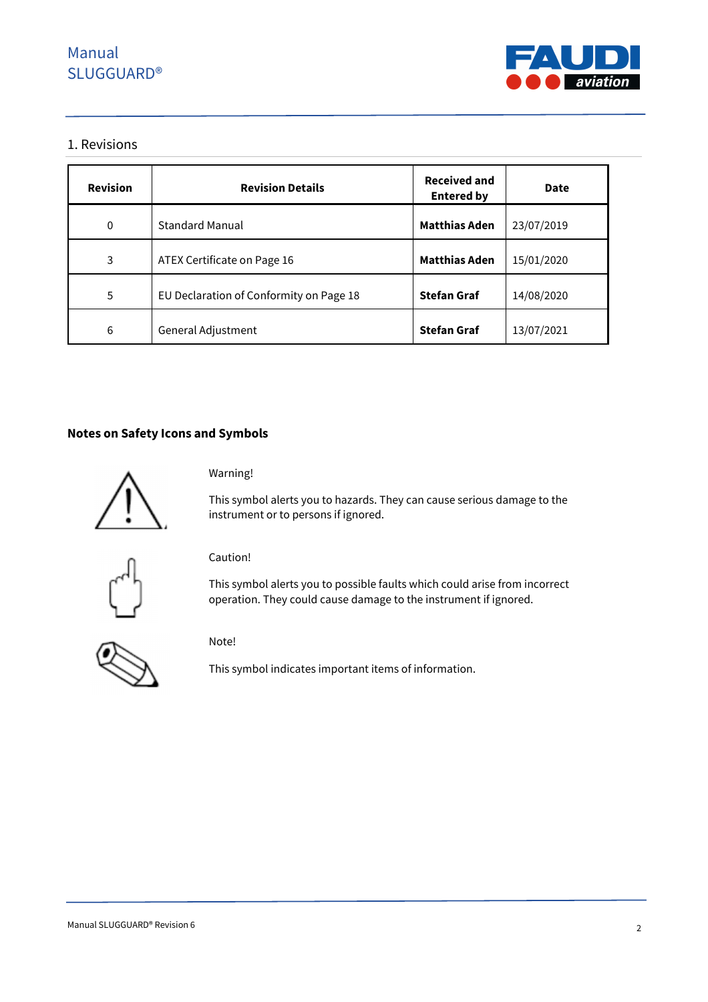

#### 1. Revisions

| <b>Revision</b> | <b>Revision Details</b>                 | <b>Received and</b><br><b>Entered by</b> | Date       |
|-----------------|-----------------------------------------|------------------------------------------|------------|
| $\mathbf 0$     | <b>Standard Manual</b>                  | <b>Matthias Aden</b>                     | 23/07/2019 |
| 3               | ATEX Certificate on Page 16             | <b>Matthias Aden</b>                     | 15/01/2020 |
| 5               | EU Declaration of Conformity on Page 18 | <b>Stefan Graf</b>                       | 14/08/2020 |
| 6               | General Adjustment                      | <b>Stefan Graf</b>                       | 13/07/2021 |

### **Notes on Safety Icons and Symbols**



Warning!

This symbol alerts you to hazards. They can cause serious damage to the instrument or to persons if ignored.



Caution!

This symbol alerts you to possible faults which could arise from incorrect operation. They could cause damage to the instrument if ignored.



This symbol indicates important items of information.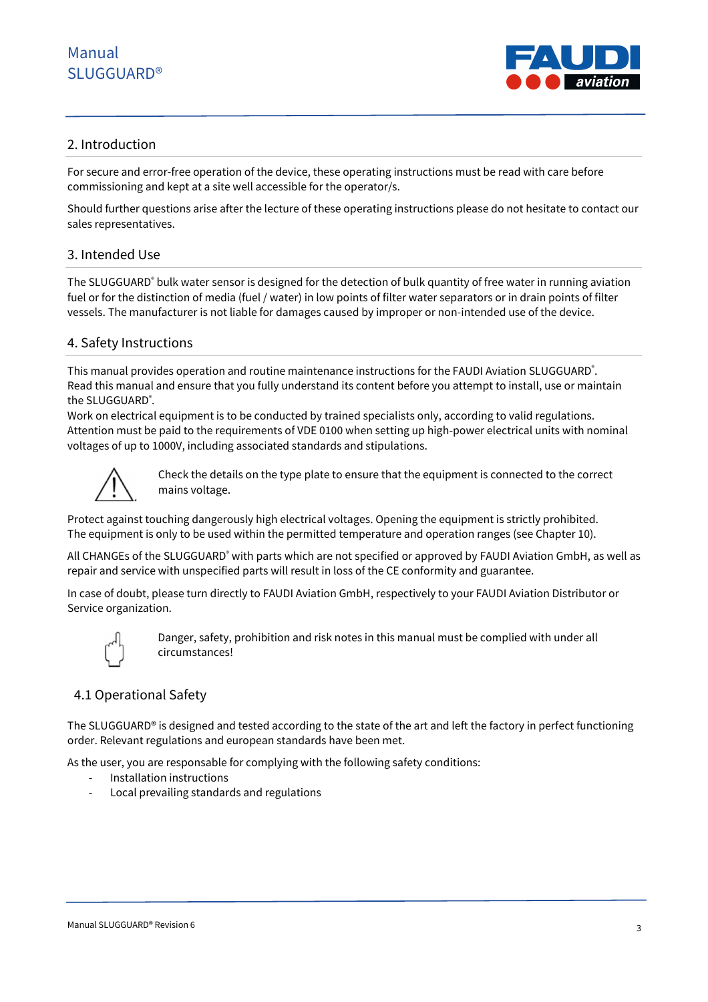

### 2. Introduction

For secure and error-free operation of the device, these operating instructions must be read with care before commissioning and kept at a site well accessible for the operator/s.

Should further questions arise after the lecture of these operating instructions please do not hesitate to contact our sales representatives.

### 3. Intended Use

The SLUGGUARD® bulk water sensor is designed for the detection of bulk quantity of free water in running aviation fuel or for the distinction of media (fuel / water) in low points of filter water separators or in drain points of filter vessels. The manufacturer is not liable for damages caused by improper or non-intended use of the device.

### 4. Safety Instructions

This manual provides operation and routine maintenance instructions for the FAUDI Aviation SLUGGUARD<sup>®</sup>. Read this manual and ensure that you fully understand its content before you attempt to install, use or maintain the SLUGGUARD®.

Work on electrical equipment is to be conducted by trained specialists only, according to valid regulations. Attention must be paid to the requirements of VDE 0100 when setting up high-power electrical units with nominal voltages of up to 1000V, including associated standards and stipulations.



Check the details on the type plate to ensure that the equipment is connected to the correct mains voltage.

Protect against touching dangerously high electrical voltages. Opening the equipment is strictly prohibited. The equipment is only to be used within the permitted temperature and operation ranges (see Chapter 10).

All CHANGEs of the SLUGGUARD® with parts which are not specified or approved by FAUDI Aviation GmbH, as well as repair and service with unspecified parts will result in loss of the CE conformity and guarantee.

In case of doubt, please turn directly to FAUDI Aviation GmbH, respectively to your FAUDI Aviation Distributor or Service organization.



Danger, safety, prohibition and risk notes in this manual must be complied with under all circumstances!

### 4.1 Operational Safety

The SLUGGUARD® is designed and tested according to the state of the art and left the factory in perfect functioning order. Relevant regulations and european standards have been met.

As the user, you are responsable for complying with the following safety conditions:

- Installation instructions
- Local prevailing standards and regulations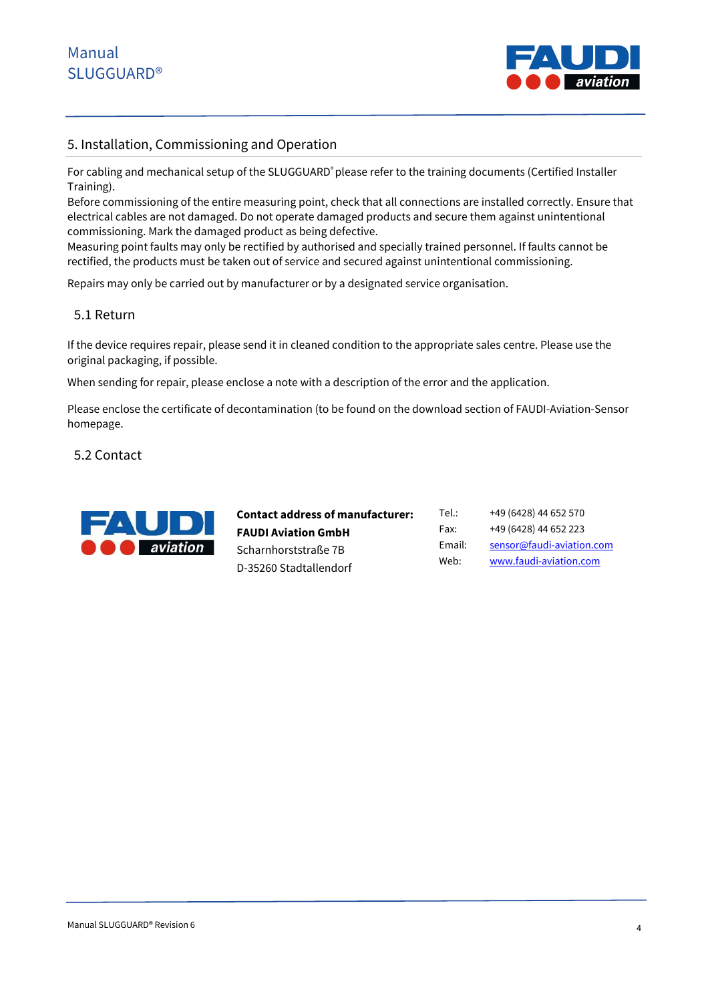

### 5. Installation, Commissioning and Operation

For cabling and mechanical setup of the SLUGGUARD® please refer to the training documents (Certified Installer Training).

Before commissioning of the entire measuring point, check that all connections are installed correctly. Ensure that electrical cables are not damaged. Do not operate damaged products and secure them against unintentional commissioning. Mark the damaged product as being defective.

Measuring point faults may only be rectified by authorised and specially trained personnel. If faults cannot be rectified, the products must be taken out of service and secured against unintentional commissioning.

Repairs may only be carried out by manufacturer or by a designated service organisation.

### 5.1 Return

If the device requires repair, please send it in cleaned condition to the appropriate sales centre. Please use the original packaging, if possible.

When sending for repair, please enclose a note with a description of the error and the application.

Please enclose the certificate of decontamination (to be found on the download section of FAUDI-Aviation-Sensor homepage.

#### 5.2 Contact



**Contact address of manufacturer: FAUDI Aviation GmbH** Scharnhorststraße 7B D-35260 Stadtallendorf

Tel.: +49 (6428) 44 652 570 Fax: +49 (6428) 44 652 223 Email: sensor@faudi-aviation.com Web: www.faudi-aviation.com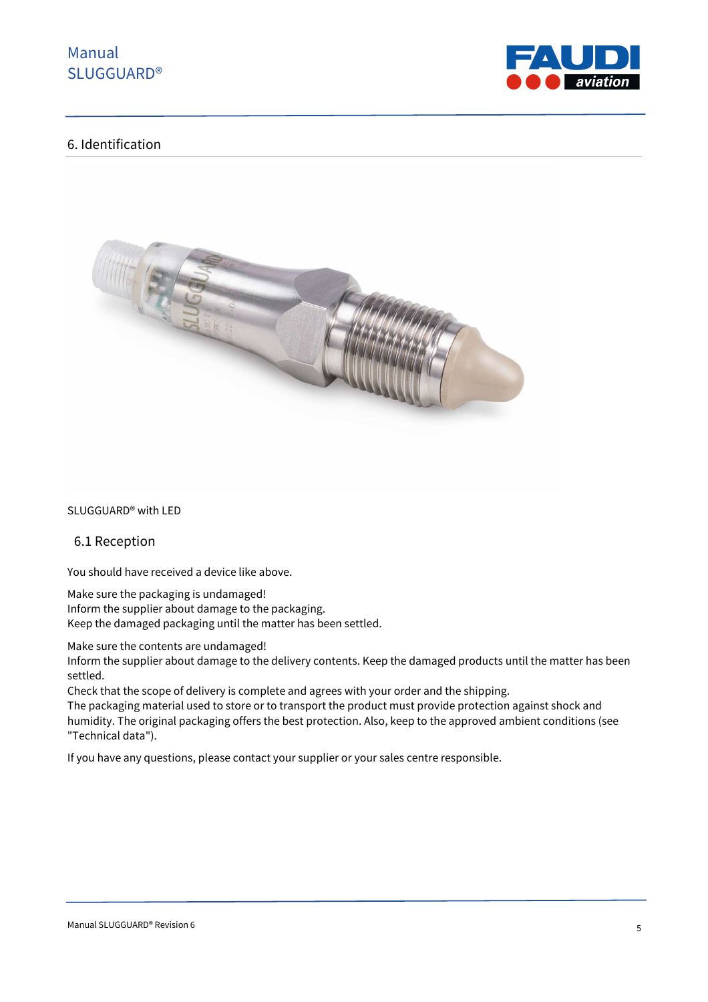

### 6. Identification



SLUGGUARD® with LED

#### 6.1 Reception

You should have received a device like above.

Make sure the packaging is undamaged!

Inform the supplier about damage to the packaging. Keep the damaged packaging until the matter has been settled.

Make sure the contents are undamaged!

Inform the supplier about damage to the delivery contents. Keep the damaged products until the matter has been settled.

Check that the scope of delivery is complete and agrees with your order and the shipping.

The packaging material used to store or to transport the product must provide protection against shock and humidity. The original packaging offers the best protection. Also, keep to the approved ambient conditions (see "Technical data").

If you have any questions, please contact your supplier or your sales centre responsible.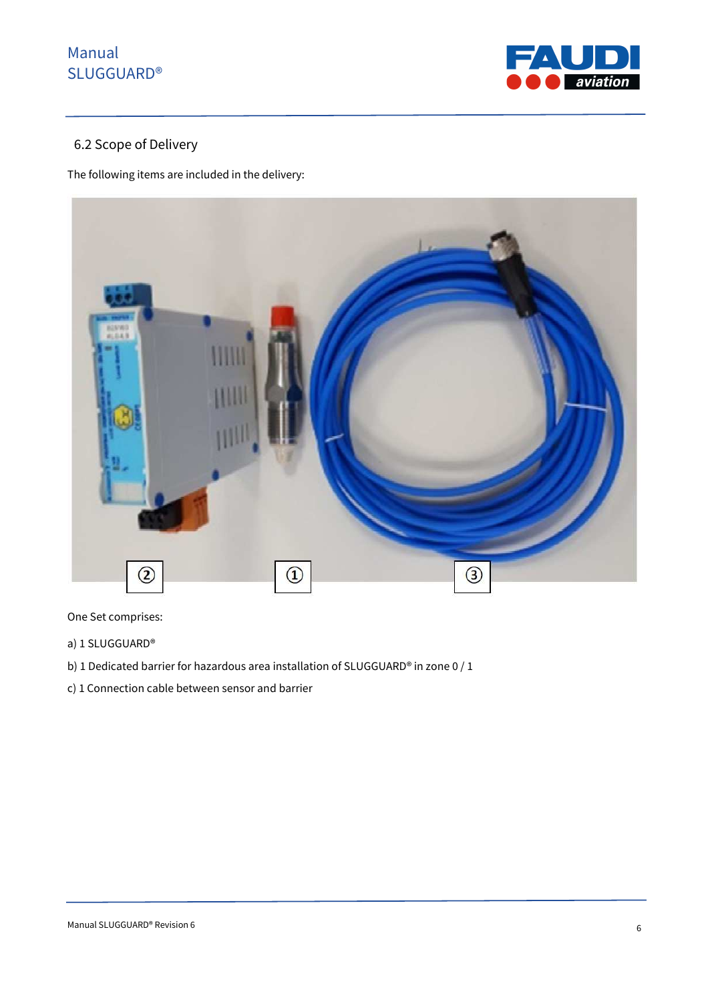

## 6.2 Scope of Delivery

The following items are included in the delivery:



One Set comprises:

- a) 1 SLUGGUARD®
- b) 1 Dedicated barrier for hazardous area installation of SLUGGUARD® in zone 0 / 1
- c) 1 Connection cable between sensor and barrier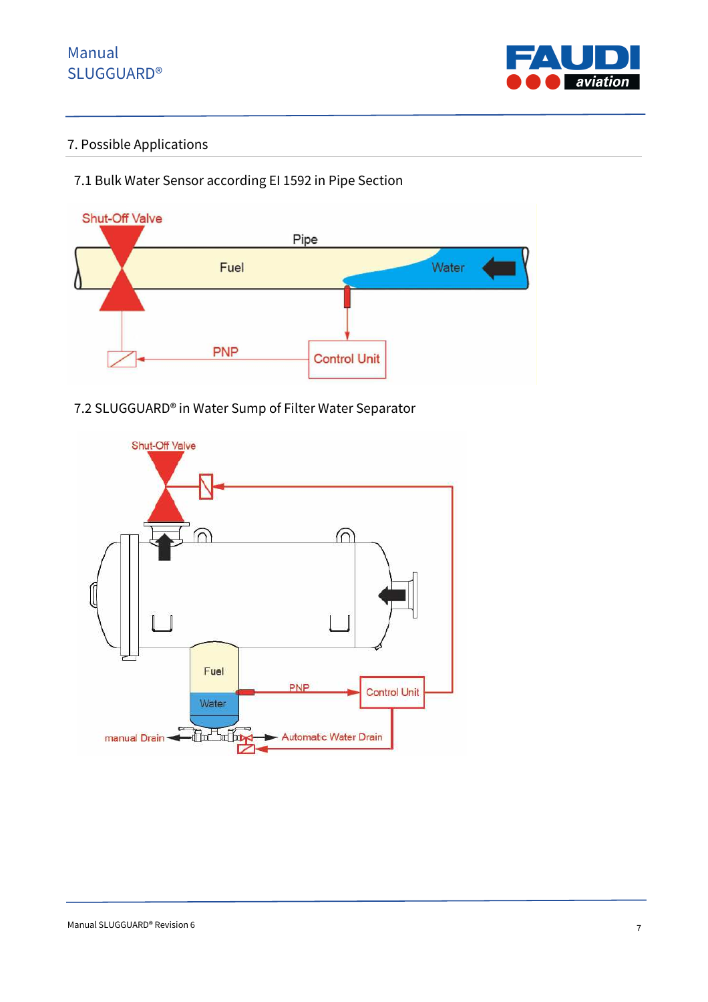

## 7. Possible Applications

## 7.1 Bulk Water Sensor according EI 1592 in Pipe Section



## 7.2 SLUGGUARD® in Water Sump of Filter Water Separator

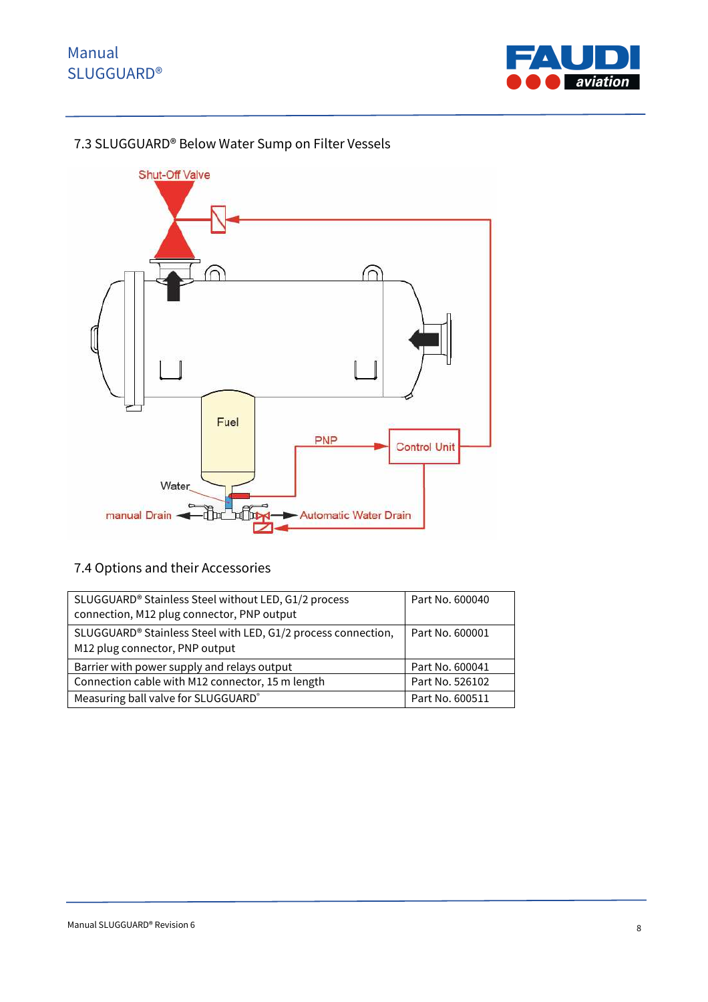

## 7.3 SLUGGUARD® Below Water Sump on Filter Vessels



## 7.4 Options and their Accessories

| SLUGGUARD <sup>®</sup> Stainless Steel without LED, G1/2 process<br>connection, M12 plug connector, PNP output | Part No. 600040 |
|----------------------------------------------------------------------------------------------------------------|-----------------|
| SLUGGUARD <sup>®</sup> Stainless Steel with LED, G1/2 process connection,<br>M12 plug connector, PNP output    | Part No. 600001 |
| Barrier with power supply and relays output                                                                    | Part No. 600041 |
| Connection cable with M12 connector, 15 m length                                                               | Part No. 526102 |
| Measuring ball valve for SLUGGUARD®                                                                            | Part No. 600511 |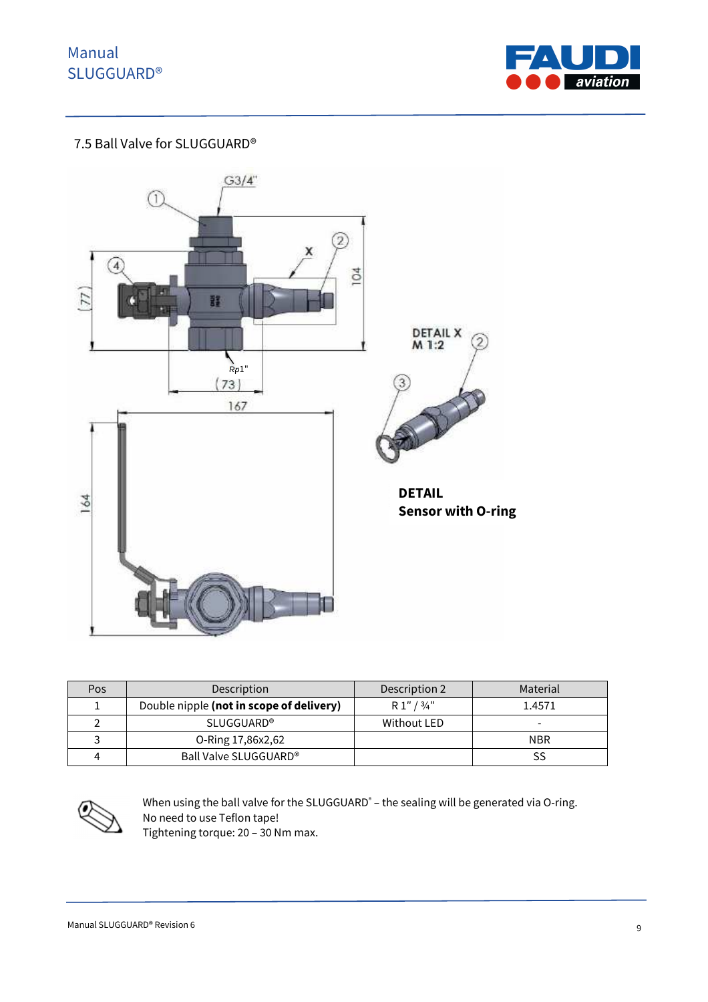

### 7.5 Ball Valve for SLUGGUARD®



| Pos | Description                              | Description 2 | Material   |
|-----|------------------------------------------|---------------|------------|
|     | Double nipple (not in scope of delivery) | R1''/3/4''    | 1.4571     |
|     | <b>SLUGGUARD®</b>                        | Without LED   |            |
|     | O-Ring 17,86x2,62                        |               | <b>NBR</b> |
|     | Ball Valve SLUGGUARD <sup>®</sup>        |               |            |



When using the ball valve for the SLUGGUARD<sup>®</sup> – the sealing will be generated via O-ring. No need to use Teflon tape! Tightening torque: 20 – 30 Nm max.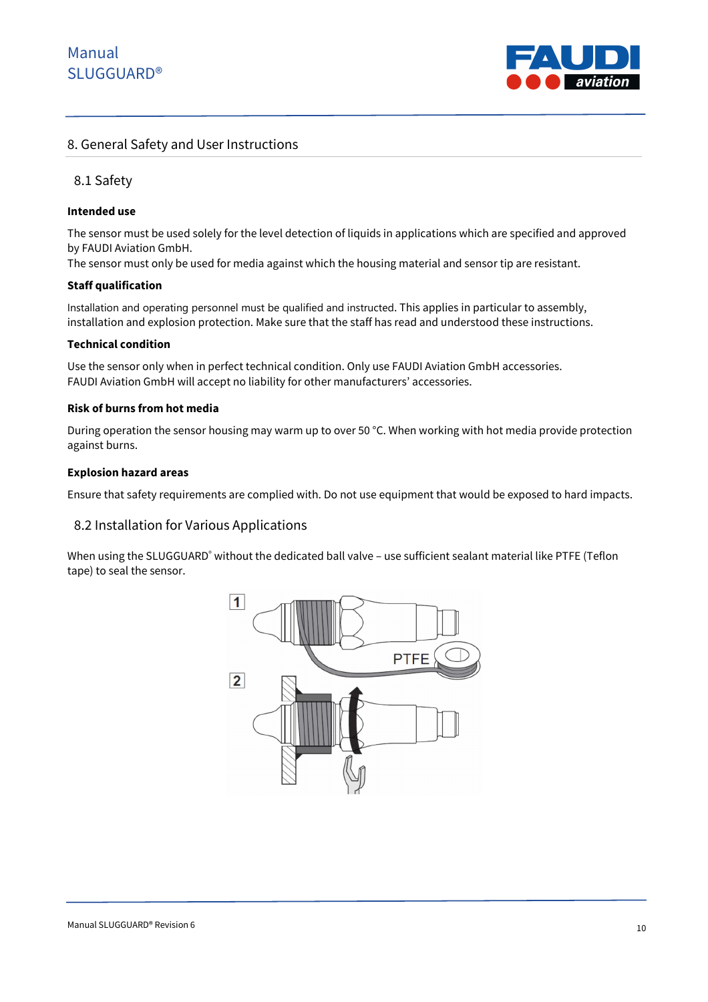

### 8. General Safety and User Instructions

### 8.1 Safety

#### **Intended use**

The sensor must be used solely for the level detection of liquids in applications which are specified and approved by FAUDI Aviation GmbH.

The sensor must only be used for media against which the housing material and sensor tip are resistant.

#### **Staff qualification**

Installation and operating personnel must be qualified and instructed. This applies in particular to assembly, installation and explosion protection. Make sure that the staff has read and understood these instructions.

#### **Technical condition**

Use the sensor only when in perfect technical condition. Only use FAUDI Aviation GmbH accessories. FAUDI Aviation GmbH will accept no liability for other manufacturers' accessories.

#### **Risk of burns from hot media**

During operation the sensor housing may warm up to over 50 °C. When working with hot media provide protection against burns.

#### **Explosion hazard areas**

Ensure that safety requirements are complied with. Do not use equipment that would be exposed to hard impacts.

#### 8.2 Installation for Various Applications

When using the SLUGGUARD® without the dedicated ball valve – use sufficient sealant material like PTFE (Teflon tape) to seal the sensor.

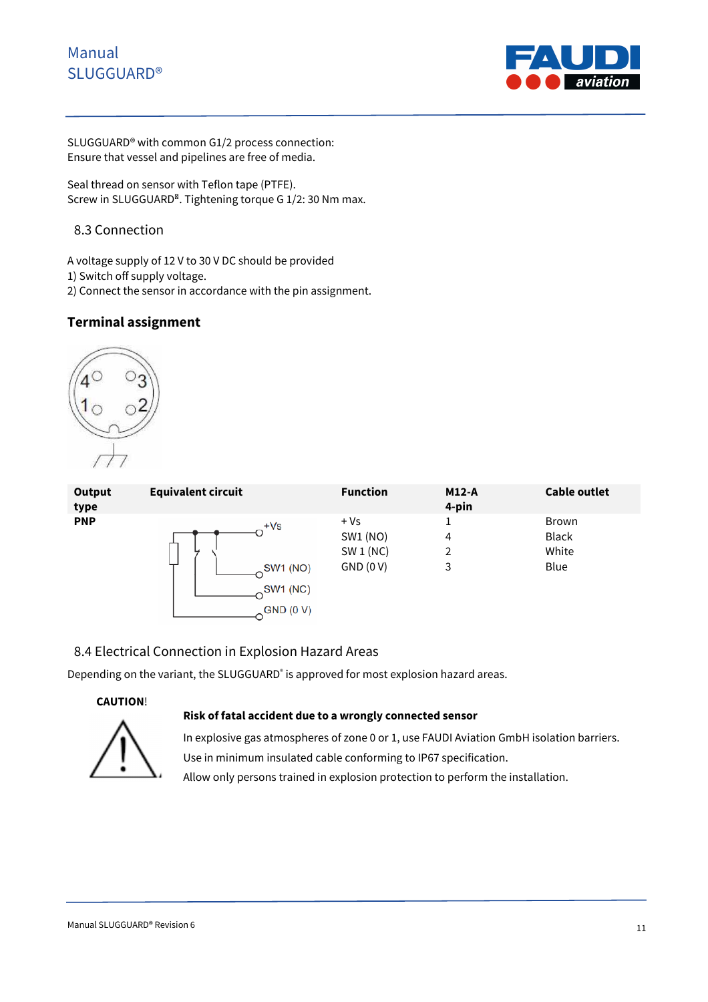

SLUGGUARD® with common G1/2 process connection: Ensure that vessel and pipelines are free of media.

Seal thread on sensor with Teflon tape (PTFE). Screw in SLUGGUARD<sup>®</sup>. Tightening torque G 1/2: 30 Nm max.

### 8.3 Connection

A voltage supply of 12 V to 30 V DC should be provided

1) Switch off supply voltage.

2) Connect the sensor in accordance with the pin assignment.

### **Terminal assignment**



| <b>Output</b><br>type | <b>Equivalent circuit</b> | <b>Function</b> | $M12-A$<br>4-pin | <b>Cable outlet</b> |
|-----------------------|---------------------------|-----------------|------------------|---------------------|
| <b>PNP</b>            | $+Vs$                     | $+Vs$           | 1                | <b>Brown</b>        |
|                       | SW1 (NO)                  | SW1 (NO)        | 4                | Black               |
|                       | SW1 (NC)                  | SW1(NC)         | 2                | White               |
|                       | GND (0 V)                 | GND (0 V)       | 3                | Blue                |

### 8.4 Electrical Connection in Explosion Hazard Areas

Depending on the variant, the SLUGGUARD<sup>®</sup> is approved for most explosion hazard areas.

#### **CAUTION**!

#### **Risk of fatal accident due to a wrongly connected sensor**



In explosive gas atmospheres of zone 0 or 1, use FAUDI Aviation GmbH isolation barriers. Use in minimum insulated cable conforming to IP67 specification.

Allow only persons trained in explosion protection to perform the installation.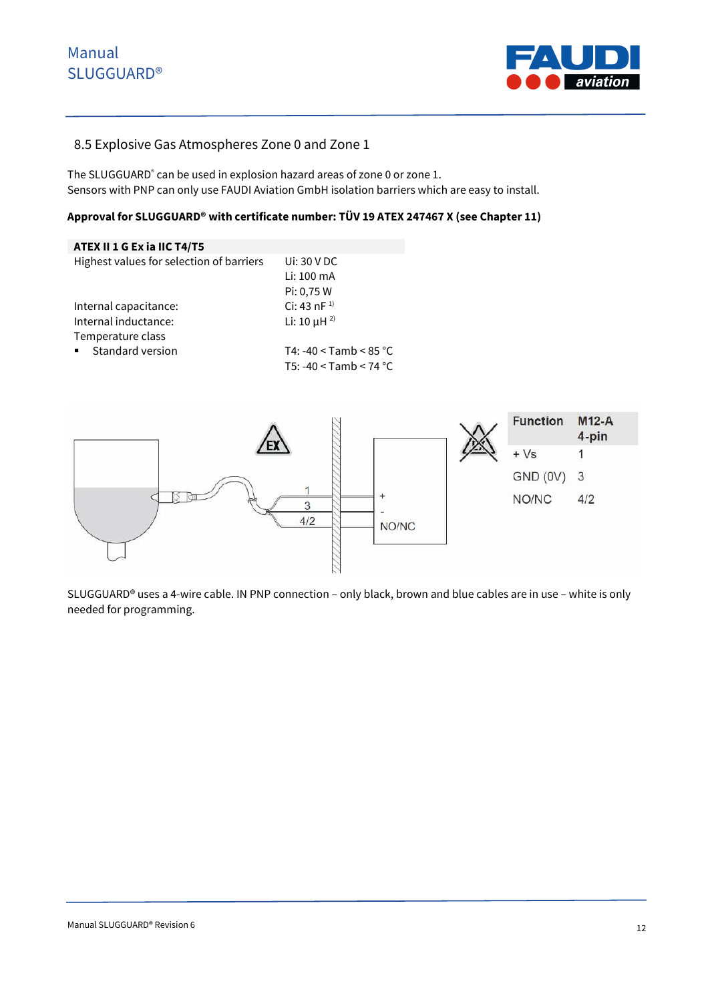

### 8.5 Explosive Gas Atmospheres Zone 0 and Zone 1

The SLUGGUARD<sup>®</sup> can be used in explosion hazard areas of zone 0 or zone 1. Sensors with PNP can only use FAUDI Aviation GmbH isolation barriers which are easy to install.

### **Approval for SLUGGUARD® with certificate number: TÜV 19 ATEX 247467 X (see Chapter 11)**

| ATEX II 1 G Ex ia IIC T4/T5                 |                              |
|---------------------------------------------|------------------------------|
| Highest values for selection of barriers    | Ui: $30$ V DC                |
|                                             | Li: 100 mA                   |
|                                             | Pi: 0,75 W                   |
| Internal capacitance:                       | Ci: 43 nF $^{1}$             |
| Internal inductance:                        | Li: 10 $\mu$ H <sup>2)</sup> |
| Temperature class                           |                              |
| Standard version<br>$\mathbf{H}^{\prime}$ . | T4: -40 < Tamb < $85 °C$     |
|                                             | T5: -40 < Tamb < 74 °C       |



SLUGGUARD® uses a 4-wire cable. IN PNP connection – only black, brown and blue cables are in use – white is only needed for programming.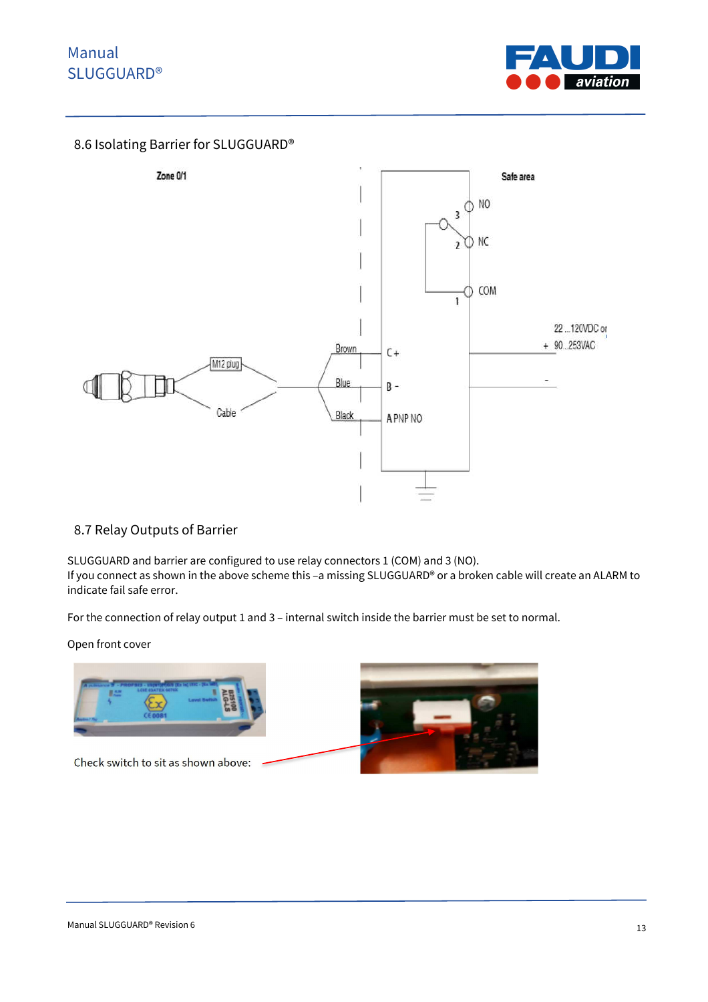

### 8.6 Isolating Barrier for SLUGGUARD®



### 8.7 Relay Outputs of Barrier

SLUGGUARD and barrier are configured to use relay connectors 1 (COM) and 3 (NO). If you connect as shown in the above scheme this –a missing SLUGGUARD® or a broken cable will create an ALARM to indicate fail safe error.

For the connection of relay output 1 and 3 – internal switch inside the barrier must be set to normal.

Open front cover

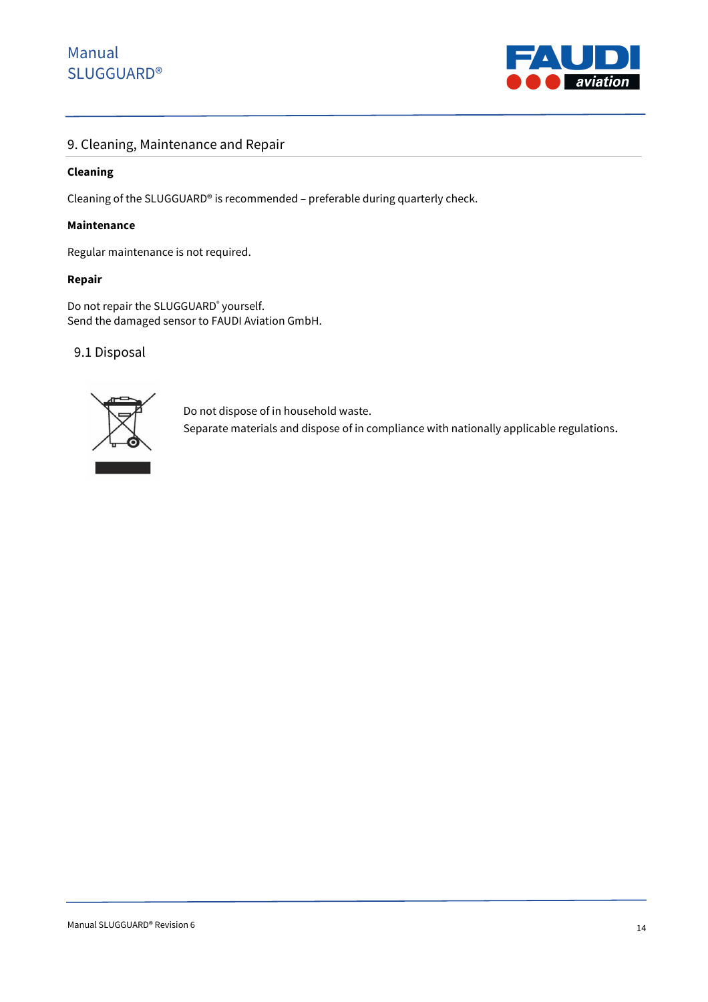

### 9. Cleaning, Maintenance and Repair

#### **Cleaning**

Cleaning of the SLUGGUARD® is recommended – preferable during quarterly check.

#### **Maintenance**

Regular maintenance is not required.

#### **Repair**

Do not repair the SLUGGUARD<sup>®</sup> yourself. Send the damaged sensor to FAUDI Aviation GmbH.

#### 9.1 Disposal



Do not dispose of in household waste.

Separate materials and dispose of in compliance with nationally applicable regulations.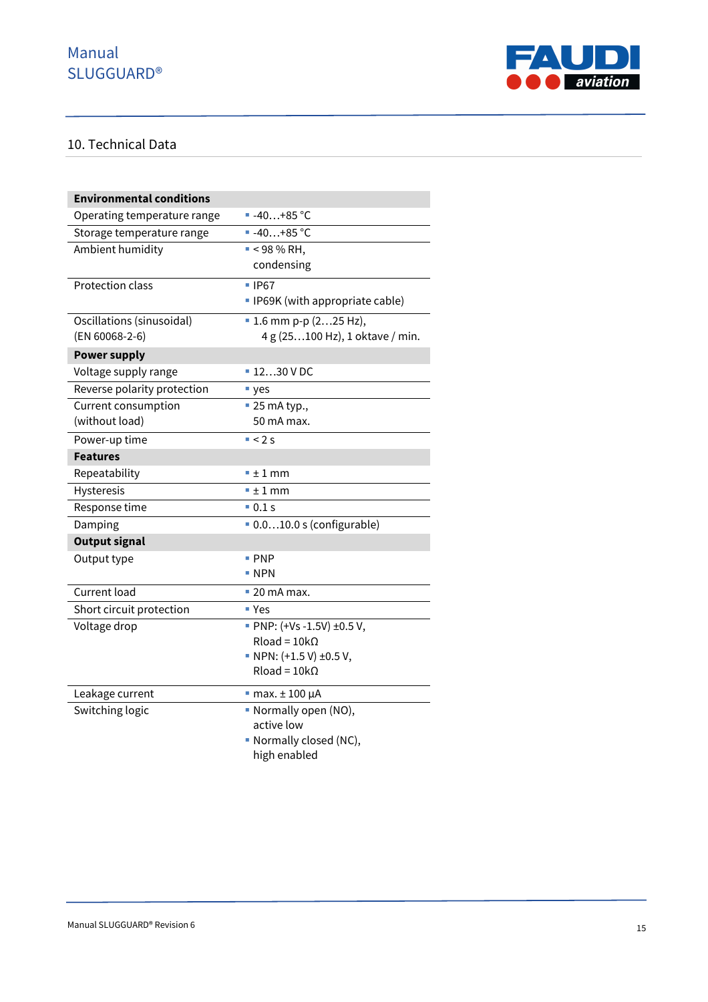

## 10. Technical Data

| <b>Environmental conditions</b> |                                         |
|---------------------------------|-----------------------------------------|
| Operating temperature range     | ■ $-40+85$ °C                           |
| Storage temperature range       | $-40+85 °C$                             |
| Ambient humidity                | $-$ < 98 % RH,                          |
|                                 | condensing                              |
| <b>Protection class</b>         | ■ IP67                                  |
|                                 | • IP69K (with appropriate cable)        |
| Oscillations (sinusoidal)       | $\blacksquare$ 1.6 mm p-p (225 Hz),     |
| (EN 60068-2-6)                  | 4 g (25100 Hz), 1 oktave / min.         |
| <b>Power supply</b>             |                                         |
| Voltage supply range            | $1230$ V DC                             |
| Reverse polarity protection     | " yes                                   |
| <b>Current consumption</b>      | $\blacksquare$ 25 mA typ.,              |
| (without load)                  | 50 mA max.                              |
| Power-up time                   | $-2s$                                   |
| <b>Features</b>                 |                                         |
| Repeatability                   | $-1$ mm                                 |
| <b>Hysteresis</b>               | $-1$ mm                                 |
| Response time                   | $\blacksquare$ 0.1 s                    |
| Damping                         | $\blacksquare$ 0.010.0 s (configurable) |
| <b>Output signal</b>            |                                         |
| Output type                     | $\blacksquare$ PNP                      |
|                                 | $\blacksquare$ NPN                      |
| Current load                    | $\blacksquare$ 20 mA max.               |
| Short circuit protection        | ■ Yes                                   |
| Voltage drop                    | PNP: (+Vs-1.5V) ±0.5 V,                 |
|                                 | $Rload = 10k\Omega$                     |
|                                 | • NPN: $(+1.5 V) \pm 0.5 V$ ,           |
|                                 | $Rload = 10k\Omega$                     |
| Leakage current                 | $\blacksquare$ max. $\pm$ 100 µA        |
| Switching logic                 | • Normally open (NO),                   |
|                                 | active low                              |
|                                 | • Normally closed (NC),                 |
|                                 | high enabled                            |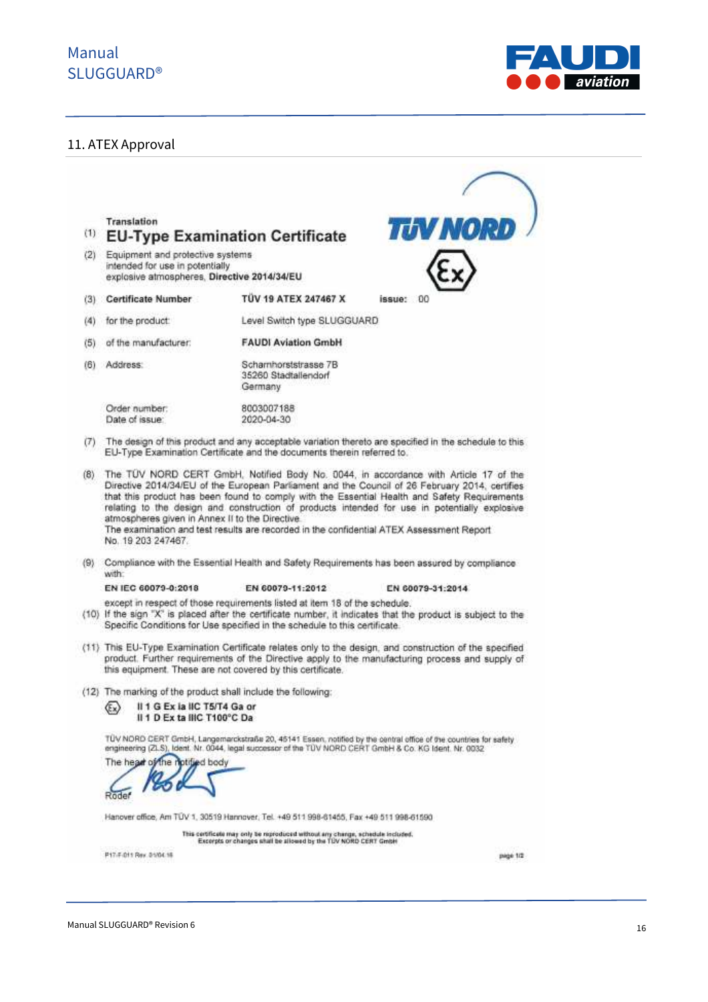

### 11. ATEX Approval

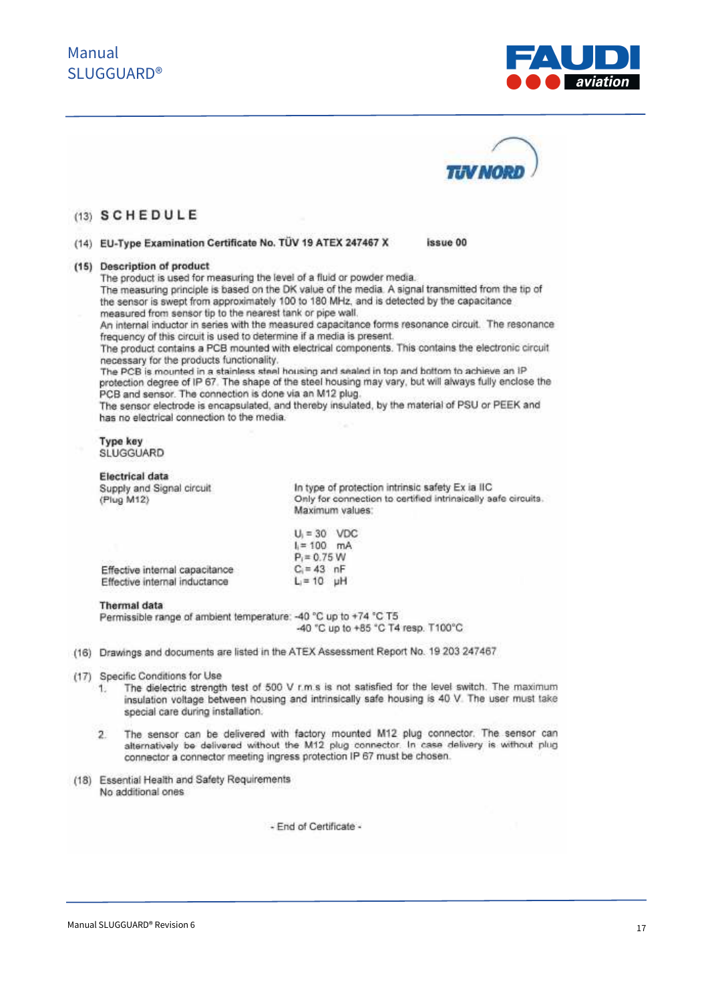



issue 00

### (13) SCHEDULE

#### (14) EU-Type Examination Certificate No. TÜV 19 ATEX 247467 X

#### (15) Description of product

The product is used for measuring the level of a fluid or powder media. The measuring principle is based on the DK value of the media. A signal transmitted from the tip of the sensor is swept from approximately 100 to 180 MHz, and is detected by the capacitance measured from sensor tip to the nearest tank or pipe wall.

An internal inductor in series with the measured capacitance forms resonance circuit. The resonance frequency of this circuit is used to determine if a media is present.

The product contains a PCB mounted with electrical components. This contains the electronic circuit necessary for the products functionality.

The PCB is mounted in a stainless steel housing and sealed in top and bottom to achieve an IP protection degree of IP 67. The shape of the steel housing may vary, but will always fully enclose the PCB and sensor. The connection is done via an M12 plug.

The sensor electrode is encapsulated, and thereby insulated, by the material of PSU or PEEK and has no electrical connection to the media.

| Type key  |
|-----------|
| SLUGGUARD |

#### **Electrical data**

Supply and Signal circuit (Plug M12)

In type of protection intrinsic safety Ex ia IIC Only for connection to certified intrinsically safe circuits. Maximum values:

|                                | $U_i = 30$ VDC |  |
|--------------------------------|----------------|--|
|                                | $l = 100$ mA   |  |
|                                | $P_i = 0.75 W$ |  |
| Effective internal capacitance | $C = 43$ nF    |  |
| Effective internal inductance  | $L = 10$ uH    |  |

#### **Thermal** data

Permissible range of ambient temperature: - 40 °C up to +74 °C T5 -40 °C up to +85 °C T4 resp. T100°C

- (16) Drawings and documents are listed in the ATEX Assessment Report No. 19 203 247467
- (17) Specific Conditions for Use
	- The dielectric strength test of 500 V r.m.s is not satisfied for the level switch. The maximum  $1.$ insulation voltage between housing and intrinsically safe housing is 40 V. The user must take special care during installation.
	- The sensor can be delivered with factory mounted M12 plug connector. The sensor can  $\overline{2}$ alternatively be delivered without the M12 plug connector. In case delivery is without plug connector a connector meeting ingress protection IP 67 must be chosen.
- (18) Essential Health and Safety Requirements No additional ones

- End of Certificate -